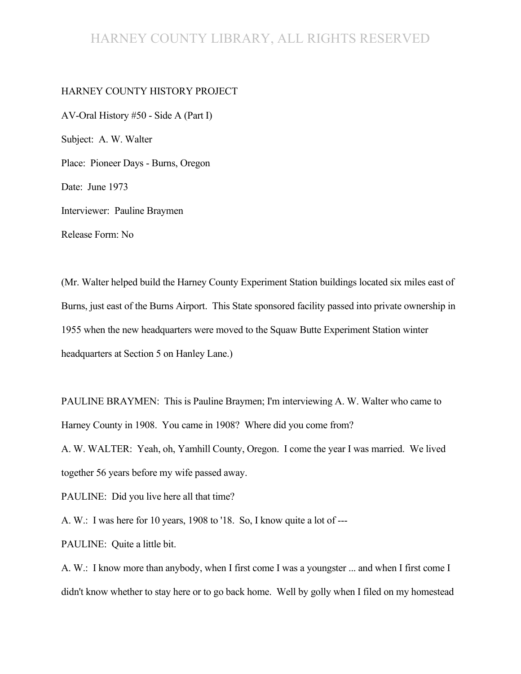### HARNEY COUNTY LIBRARY, ALL RIGHTS RESERVED

#### HARNEY COUNTY HISTORY PROJECT

AV-Oral History #50 - Side A (Part I) Subject: A. W. Walter Place: Pioneer Days - Burns, Oregon Date: June 1973 Interviewer: Pauline Braymen Release Form: No

(Mr. Walter helped build the Harney County Experiment Station buildings located six miles east of Burns, just east of the Burns Airport. This State sponsored facility passed into private ownership in 1955 when the new headquarters were moved to the Squaw Butte Experiment Station winter headquarters at Section 5 on Hanley Lane.)

PAULINE BRAYMEN: This is Pauline Braymen; I'm interviewing A. W. Walter who came to Harney County in 1908. You came in 1908? Where did you come from?

A. W. WALTER: Yeah, oh, Yamhill County, Oregon. I come the year I was married. We lived together 56 years before my wife passed away.

PAULINE: Did you live here all that time?

A. W.: I was here for 10 years, 1908 to '18. So, I know quite a lot of ---

PAULINE: Quite a little bit.

A. W.: I know more than anybody, when I first come I was a youngster ... and when I first come I didn't know whether to stay here or to go back home. Well by golly when I filed on my homestead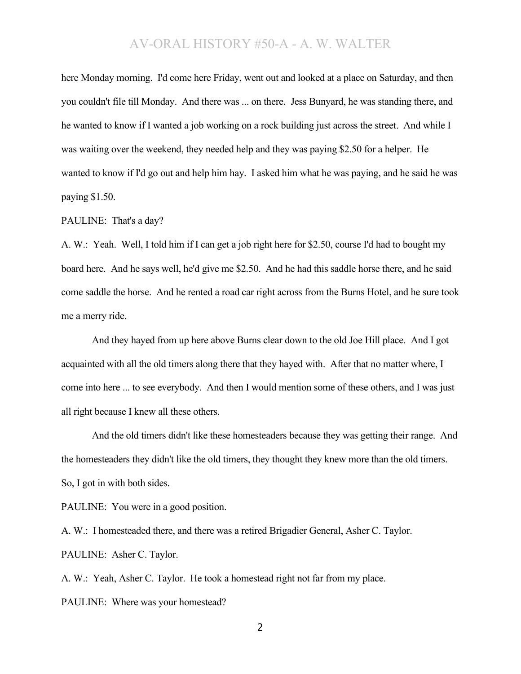here Monday morning. I'd come here Friday, went out and looked at a place on Saturday, and then you couldn't file till Monday. And there was ... on there. Jess Bunyard, he was standing there, and he wanted to know if I wanted a job working on a rock building just across the street. And while I was waiting over the weekend, they needed help and they was paying \$2.50 for a helper. He wanted to know if I'd go out and help him hay. I asked him what he was paying, and he said he was paying \$1.50.

#### PAULINE: That's a day?

A. W.: Yeah. Well, I told him if I can get a job right here for \$2.50, course I'd had to bought my board here. And he says well, he'd give me \$2.50. And he had this saddle horse there, and he said come saddle the horse. And he rented a road car right across from the Burns Hotel, and he sure took me a merry ride.

And they hayed from up here above Burns clear down to the old Joe Hill place. And I got acquainted with all the old timers along there that they hayed with. After that no matter where, I come into here ... to see everybody. And then I would mention some of these others, and I was just all right because I knew all these others.

And the old timers didn't like these homesteaders because they was getting their range. And the homesteaders they didn't like the old timers, they thought they knew more than the old timers. So, I got in with both sides.

PAULINE: You were in a good position.

A. W.: I homesteaded there, and there was a retired Brigadier General, Asher C. Taylor. PAULINE: Asher C. Taylor.

A. W.: Yeah, Asher C. Taylor. He took a homestead right not far from my place. PAULINE: Where was your homestead?

2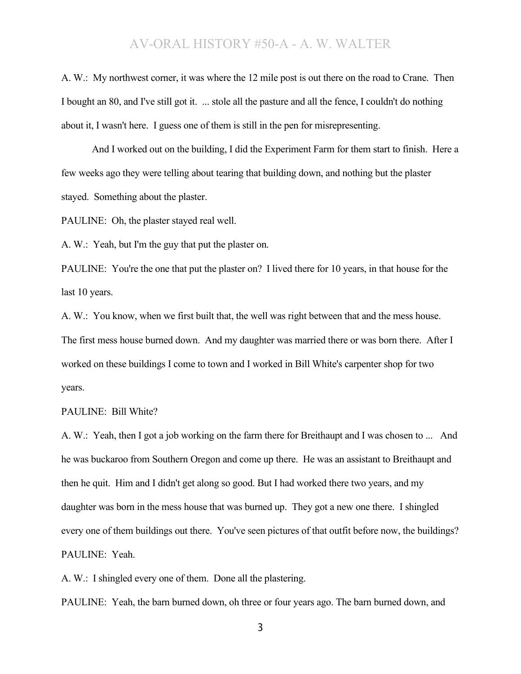A. W.: My northwest corner, it was where the 12 mile post is out there on the road to Crane. Then I bought an 80, and I've still got it. ... stole all the pasture and all the fence, I couldn't do nothing about it, I wasn't here. I guess one of them is still in the pen for misrepresenting.

And I worked out on the building, I did the Experiment Farm for them start to finish. Here a few weeks ago they were telling about tearing that building down, and nothing but the plaster stayed. Something about the plaster.

PAULINE: Oh, the plaster stayed real well.

A. W.: Yeah, but I'm the guy that put the plaster on.

PAULINE: You're the one that put the plaster on? I lived there for 10 years, in that house for the last 10 years.

A. W.: You know, when we first built that, the well was right between that and the mess house. The first mess house burned down. And my daughter was married there or was born there. After I worked on these buildings I come to town and I worked in Bill White's carpenter shop for two years.

#### PAULINE: Bill White?

A. W.: Yeah, then I got a job working on the farm there for Breithaupt and I was chosen to ... And he was buckaroo from Southern Oregon and come up there. He was an assistant to Breithaupt and then he quit. Him and I didn't get along so good. But I had worked there two years, and my daughter was born in the mess house that was burned up. They got a new one there. I shingled every one of them buildings out there. You've seen pictures of that outfit before now, the buildings? PAULINE: Yeah.

A. W.: I shingled every one of them. Done all the plastering.

PAULINE: Yeah, the barn burned down, oh three or four years ago. The barn burned down, and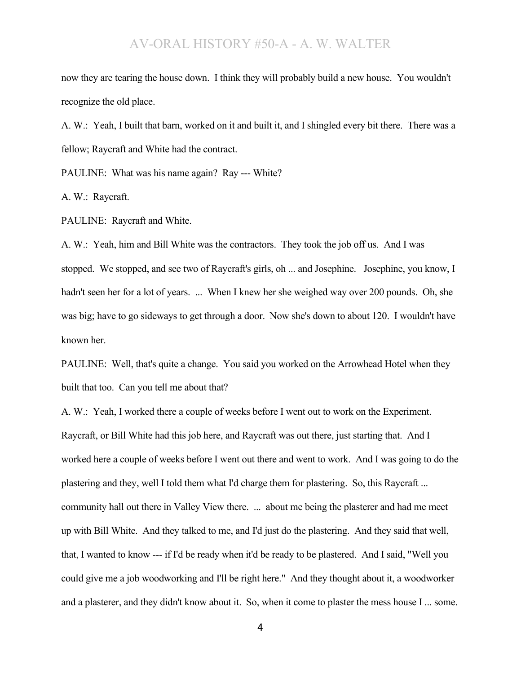now they are tearing the house down. I think they will probably build a new house. You wouldn't recognize the old place.

A. W.: Yeah, I built that barn, worked on it and built it, and I shingled every bit there. There was a fellow; Raycraft and White had the contract.

PAULINE: What was his name again? Ray --- White?

A. W.: Raycraft.

PAULINE: Raycraft and White.

A. W.: Yeah, him and Bill White was the contractors. They took the job off us. And I was stopped. We stopped, and see two of Raycraft's girls, oh ... and Josephine. Josephine, you know, I hadn't seen her for a lot of years. ... When I knew her she weighed way over 200 pounds. Oh, she was big; have to go sideways to get through a door. Now she's down to about 120. I wouldn't have known her.

PAULINE: Well, that's quite a change. You said you worked on the Arrowhead Hotel when they built that too. Can you tell me about that?

A. W.: Yeah, I worked there a couple of weeks before I went out to work on the Experiment. Raycraft, or Bill White had this job here, and Raycraft was out there, just starting that. And I worked here a couple of weeks before I went out there and went to work. And I was going to do the plastering and they, well I told them what I'd charge them for plastering. So, this Raycraft ... community hall out there in Valley View there. ... about me being the plasterer and had me meet up with Bill White. And they talked to me, and I'd just do the plastering. And they said that well, that, I wanted to know --- if I'd be ready when it'd be ready to be plastered. And I said, "Well you could give me a job woodworking and I'll be right here." And they thought about it, a woodworker and a plasterer, and they didn't know about it. So, when it come to plaster the mess house I ... some.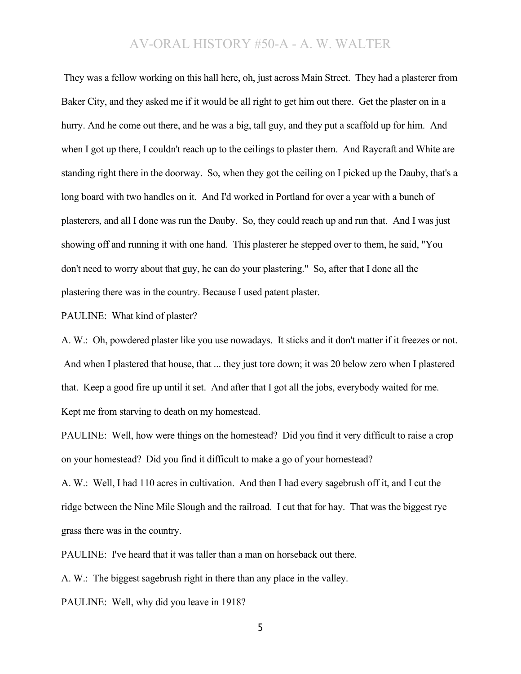They was a fellow working on this hall here, oh, just across Main Street. They had a plasterer from Baker City, and they asked me if it would be all right to get him out there. Get the plaster on in a hurry. And he come out there, and he was a big, tall guy, and they put a scaffold up for him. And when I got up there, I couldn't reach up to the ceilings to plaster them. And Raycraft and White are standing right there in the doorway. So, when they got the ceiling on I picked up the Dauby, that's a long board with two handles on it. And I'd worked in Portland for over a year with a bunch of plasterers, and all I done was run the Dauby. So, they could reach up and run that. And I was just showing off and running it with one hand. This plasterer he stepped over to them, he said, "You don't need to worry about that guy, he can do your plastering." So, after that I done all the plastering there was in the country. Because I used patent plaster.

PAULINE: What kind of plaster?

A. W.: Oh, powdered plaster like you use nowadays. It sticks and it don't matter if it freezes or not. And when I plastered that house, that ... they just tore down; it was 20 below zero when I plastered that. Keep a good fire up until it set. And after that I got all the jobs, everybody waited for me. Kept me from starving to death on my homestead.

PAULINE: Well, how were things on the homestead? Did you find it very difficult to raise a crop on your homestead? Did you find it difficult to make a go of your homestead?

A. W.: Well, I had 110 acres in cultivation. And then I had every sagebrush off it, and I cut the ridge between the Nine Mile Slough and the railroad. I cut that for hay. That was the biggest rye grass there was in the country.

PAULINE: I've heard that it was taller than a man on horseback out there.

A. W.: The biggest sagebrush right in there than any place in the valley.

PAULINE: Well, why did you leave in 1918?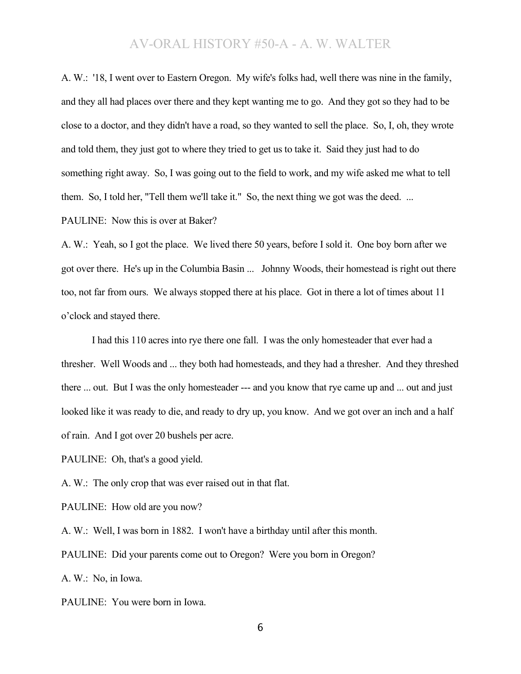A. W.: '18, I went over to Eastern Oregon. My wife's folks had, well there was nine in the family, and they all had places over there and they kept wanting me to go. And they got so they had to be close to a doctor, and they didn't have a road, so they wanted to sell the place. So, I, oh, they wrote and told them, they just got to where they tried to get us to take it. Said they just had to do something right away. So, I was going out to the field to work, and my wife asked me what to tell them. So, I told her, "Tell them we'll take it." So, the next thing we got was the deed. ... PAULINE: Now this is over at Baker?

A. W.: Yeah, so I got the place. We lived there 50 years, before I sold it. One boy born after we got over there. He's up in the Columbia Basin ... Johnny Woods, their homestead is right out there too, not far from ours. We always stopped there at his place. Got in there a lot of times about 11 o'clock and stayed there.

I had this 110 acres into rye there one fall. I was the only homesteader that ever had a thresher. Well Woods and ... they both had homesteads, and they had a thresher. And they threshed there ... out. But I was the only homesteader --- and you know that rye came up and ... out and just looked like it was ready to die, and ready to dry up, you know. And we got over an inch and a half of rain. And I got over 20 bushels per acre.

PAULINE: Oh, that's a good yield.

A. W.: The only crop that was ever raised out in that flat.

PAULINE: How old are you now?

A. W.: Well, I was born in 1882. I won't have a birthday until after this month. PAULINE: Did your parents come out to Oregon? Were you born in Oregon? A. W.: No, in Iowa.

PAULINE: You were born in Iowa.

6